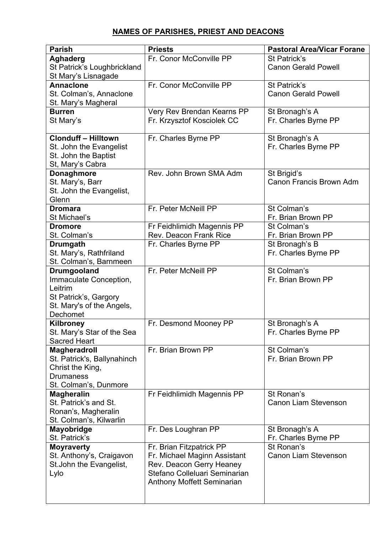## **NAMES OF PARISHES, PRIEST AND DEACONS**

| <b>Parish</b>                      | <b>Priests</b>                | <b>Pastoral Area/Vicar Forane</b>  |
|------------------------------------|-------------------------------|------------------------------------|
| <b>Aghaderg</b>                    | Fr. Conor McConville PP       | St Patrick's                       |
| St Patrick's Loughbrickland        |                               | <b>Canon Gerald Powell</b>         |
| St Mary's Lisnagade                |                               |                                    |
| <b>Annaclone</b>                   | Fr. Conor McConville PP       | St Patrick's                       |
| St. Colman's, Annaclone            |                               | <b>Canon Gerald Powell</b>         |
| St. Mary's Magheral                |                               |                                    |
| <b>Burren</b>                      | Very Rev Brendan Kearns PP    | St Bronagh's A                     |
| St Mary's                          | Fr. Krzysztof Kosciolek CC    | Fr. Charles Byrne PP               |
|                                    |                               |                                    |
| <b>Clonduff - Hilltown</b>         | Fr. Charles Byrne PP          | St Bronagh's A                     |
| St. John the Evangelist            |                               | Fr. Charles Byrne PP               |
| St. John the Baptist               |                               |                                    |
| St, Mary's Cabra                   |                               |                                    |
| <b>Donaghmore</b>                  | Rev. John Brown SMA Adm       | St Brigid's                        |
| St. Mary's, Barr                   |                               | Canon Francis Brown Adm            |
| St. John the Evangelist,           |                               |                                    |
| Glenn                              |                               |                                    |
| <b>Dromara</b>                     | Fr. Peter McNeill PP          | St Colman's                        |
| St Michael's                       |                               | Fr. Brian Brown PP                 |
| <b>Dromore</b>                     | Fr Feidhlimidh Magennis PP    | St Colman's                        |
| St. Colman's                       | <b>Rev. Deacon Frank Rice</b> | Fr. Brian Brown PP                 |
| <b>Drumgath</b>                    | Fr. Charles Byrne PP          | St Bronagh's B                     |
| St. Mary's, Rathfriland            |                               | Fr. Charles Byrne PP               |
| St. Colman's, Barnmeen             |                               |                                    |
| <b>Drumgooland</b>                 | Fr. Peter McNeill PP          | St Colman's                        |
| Immaculate Conception,             |                               | Fr. Brian Brown PP                 |
| Leitrim                            |                               |                                    |
| St Patrick's, Gargory              |                               |                                    |
| St. Mary's of the Angels,          |                               |                                    |
| Dechomet                           |                               |                                    |
| Kilbroney                          | Fr. Desmond Mooney PP         | St Bronagh's A                     |
| St. Mary's Star of the Sea         |                               | Fr. Charles Byrne PP               |
| <b>Sacred Heart</b>                |                               |                                    |
| <b>Magheradroll</b>                | Fr. Brian Brown PP            | St Colman's                        |
| St. Patrick's, Ballynahinch        |                               | Fr. Brian Brown PP                 |
| Christ the King,                   |                               |                                    |
| <b>Drumaness</b>                   |                               |                                    |
| St. Colman's, Dunmore              |                               |                                    |
| <b>Magheralin</b>                  | Fr Feidhlimidh Magennis PP    | St Ronan's                         |
| St. Patrick's and St.              |                               | <b>Canon Liam Stevenson</b>        |
| Ronan's, Magheralin                |                               |                                    |
| St. Colman's, Kilwarlin            |                               |                                    |
| <b>Mayobridge</b><br>St. Patrick's | Fr. Des Loughran PP           | St Bronagh's A                     |
| <b>Moyraverty</b>                  | Fr. Brian Fitzpatrick PP      | Fr. Charles Byrne PP<br>St Ronan's |
| St. Anthony's, Craigavon           | Fr. Michael Maginn Assistant  | <b>Canon Liam Stevenson</b>        |
| St. John the Evangelist,           | Rev. Deacon Gerry Heaney      |                                    |
| Lylo                               | Stefano Colleluari Seminarian |                                    |
|                                    | Anthony Moffett Seminarian    |                                    |
|                                    |                               |                                    |
|                                    |                               |                                    |